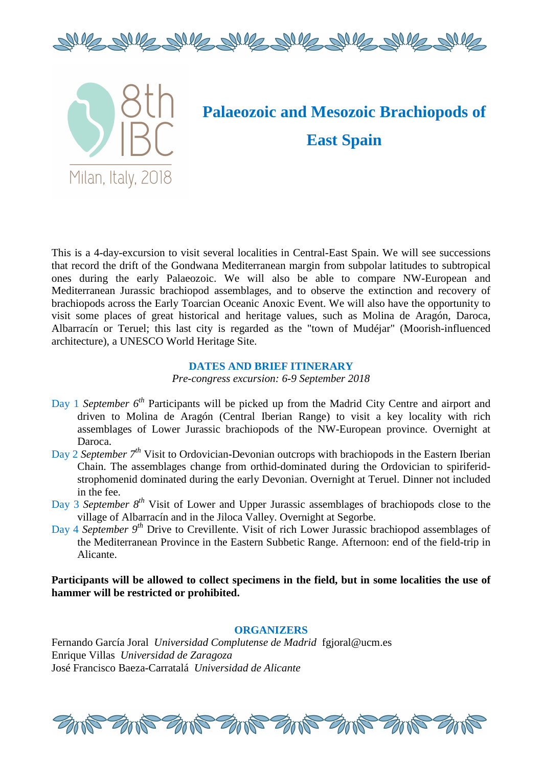



# **Palaeozoic and Mesozoic Brachiopods of East Spain**

This is a 4-day-excursion to visit several localities in Central-East Spain. We will see successions that record the drift of the Gondwana Mediterranean margin from subpolar latitudes to subtropical ones during the early Palaeozoic. We will also be able to compare NW-European and Mediterranean Jurassic brachiopod assemblages, and to observe the extinction and recovery of brachiopods across the Early Toarcian Oceanic Anoxic Event. We will also have the opportunity to visit some places of great historical and heritage values, such as Molina de Aragón, Daroca, Albarracín or Teruel; this last city is regarded as the "town of Mudéjar" (Moorish-influenced architecture), a UNESCO World Heritage Site.

# **DATES AND BRIEF ITINERARY**

*Pre-congress excursion: 6-9 September 2018* 

- Day 1 *September 6th* Participants will be picked up from the Madrid City Centre and airport and driven to Molina de Aragón (Central Iberian Range) to visit a key locality with rich assemblages of Lower Jurassic brachiopods of the NW-European province. Overnight at Daroca.
- Day 2 *September 7th* Visit to Ordovician-Devonian outcrops with brachiopods in the Eastern Iberian Chain. The assemblages change from orthid-dominated during the Ordovician to spiriferidstrophomenid dominated during the early Devonian. Overnight at Teruel. Dinner not included in the fee.
- Day 3 *September 8th* Visit of Lower and Upper Jurassic assemblages of brachiopods close to the village of Albarracín and in the Jiloca Valley. Overnight at Segorbe.
- Day 4 *September 9th* Drive to Crevillente. Visit of rich Lower Jurassic brachiopod assemblages of the Mediterranean Province in the Eastern Subbetic Range. Afternoon: end of the field-trip in Alicante.

# Participants will be allowed to collect specimens in the field, but in some localities the use of **hammer will be restricted or prohibited.**

# **ORGANIZERS**

Fernando García Joral *Universidad Complutense de Madrid* fgjoral@ucm.es Enrique Villas *Universidad de Zaragoza* José Francisco Baeza-Carratalá *Universidad de Alicante*

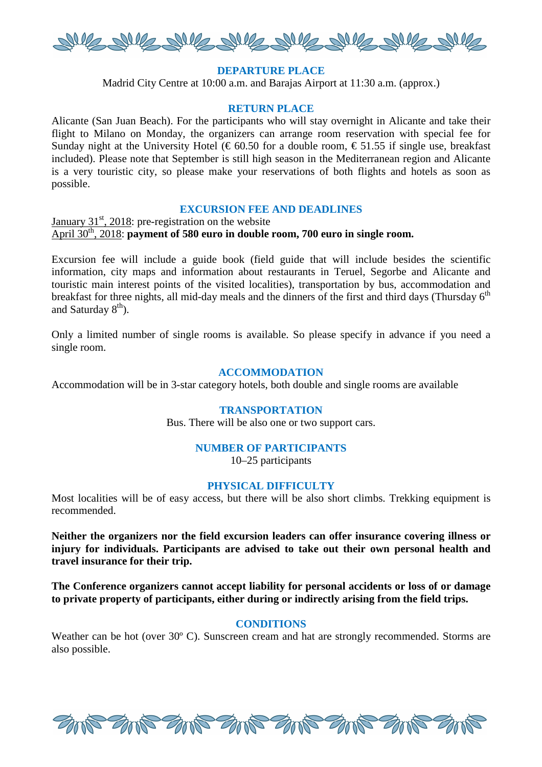

# **DEPARTURE PLACE**

Madrid City Centre at 10:00 a.m. and Barajas Airport at 11:30 a.m. (approx.)

# **RETURN PLACE**

Alicante (San Juan Beach). For the participants who will stay overnight in Alicante and take their flight to Milano on Monday, the organizers can arrange room reservation with special fee for Sunday night at the University Hotel ( $\epsilon$  60.50 for a double room,  $\epsilon$  51.55 if single use, breakfast included). Please note that September is still high season in the Mediterranean region and Alicante is a very touristic city, so please make your reservations of both flights and hotels as soon as possible.

#### **EXCURSION FEE AND DEADLINES**

January  $31<sup>st</sup>$ , 2018: pre-registration on the website April 30<sup>th</sup>, 2018: **payment of 580 euro in double room, 700 euro in single room.** 

Excursion fee will include a guide book (field guide that will include besides the scientific information, city maps and information about restaurants in Teruel, Segorbe and Alicante and touristic main interest points of the visited localities), transportation by bus, accommodation and breakfast for three nights, all mid-day meals and the dinners of the first and third days (Thursday  $6<sup>th</sup>$ and Saturday  $8<sup>th</sup>$ ).

Only a limited number of single rooms is available. So please specify in advance if you need a single room.

#### **ACCOMMODATION**

Accommodation will be in 3-star category hotels, both double and single rooms are available

### **TRANSPORTATION**

Bus. There will be also one or two support cars.

#### **NUMBER OF PARTICIPANTS**

10–25 participants

#### **PHYSICAL DIFFICULTY**

Most localities will be of easy access, but there will be also short climbs. Trekking equipment is recommended.

**Neither the organizers nor the field excursion leaders can offer insurance covering illness or injury for individuals. Participants are advised to take out their own personal health and travel insurance for their trip.**

**The Conference organizers cannot accept liability for personal accidents or loss of or damage to private property of participants, either during or indirectly arising from the field trips.** 

#### **CONDITIONS**

Weather can be hot (over 30<sup>°</sup> C). Sunscreen cream and hat are strongly recommended. Storms are also possible.